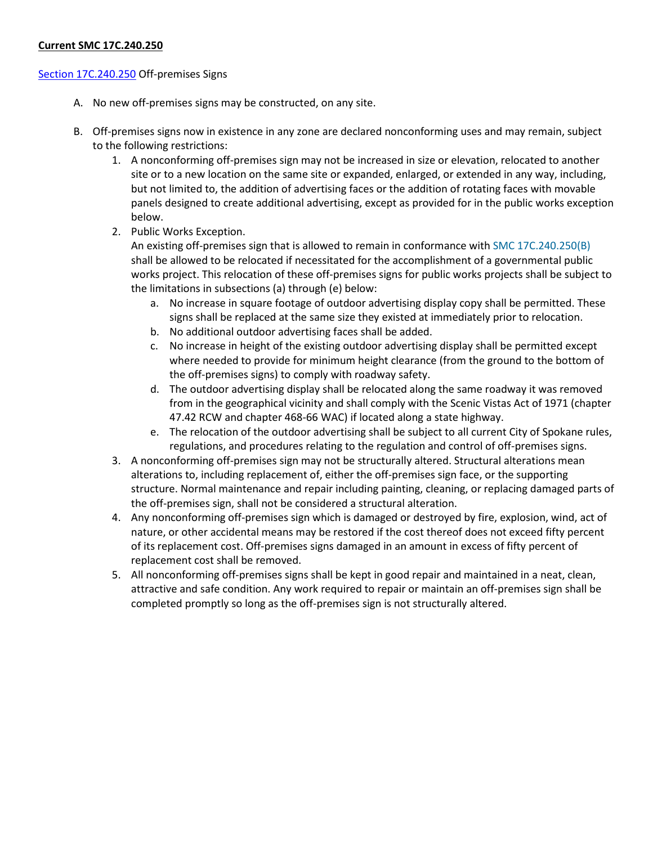# **Current SMC 17C.240.250**

### [Section 17C.240.250](https://my.spokanecity.org/smc/?Section=17C.240.250) Off-premises Signs

- A. No new off-premises signs may be constructed, on any site.
- B. Off-premises signs now in existence in any zone are declared nonconforming uses and may remain, subject to the following restrictions:
	- 1. A nonconforming off-premises sign may not be increased in size or elevation, relocated to another site or to a new location on the same site or expanded, enlarged, or extended in any way, including, but not limited to, the addition of advertising faces or the addition of rotating faces with movable panels designed to create additional advertising, except as provided for in the public works exception below.
	- 2. Public Works Exception.

An existing off-premises sign that is allowed to remain in conformance with [SMC 17C.240.250\(B\)](http://www.spokanecity.org/smc/?Section=17C.240.250) shall be allowed to be relocated if necessitated for the accomplishment of a governmental public works project. This relocation of these off-premises signs for public works projects shall be subject to the limitations in subsections (a) through (e) below:

- a. No increase in square footage of outdoor advertising display copy shall be permitted. These signs shall be replaced at the same size they existed at immediately prior to relocation.
- b. No additional outdoor advertising faces shall be added.
- c. No increase in height of the existing outdoor advertising display shall be permitted except where needed to provide for minimum height clearance (from the ground to the bottom of the off-premises signs) to comply with roadway safety.
- d. The outdoor advertising display shall be relocated along the same roadway it was removed from in the geographical vicinity and shall comply with the Scenic Vistas Act of 1971 (chapter 47.42 RCW and chapter 468-66 WAC) if located along a state highway.
- e. The relocation of the outdoor advertising shall be subject to all current City of Spokane rules, regulations, and procedures relating to the regulation and control of off-premises signs.
- 3. A nonconforming off-premises sign may not be structurally altered. Structural alterations mean alterations to, including replacement of, either the off-premises sign face, or the supporting structure. Normal maintenance and repair including painting, cleaning, or replacing damaged parts of the off-premises sign, shall not be considered a structural alteration.
- 4. Any nonconforming off-premises sign which is damaged or destroyed by fire, explosion, wind, act of nature, or other accidental means may be restored if the cost thereof does not exceed fifty percent of its replacement cost. Off-premises signs damaged in an amount in excess of fifty percent of replacement cost shall be removed.
- 5. All nonconforming off-premises signs shall be kept in good repair and maintained in a neat, clean, attractive and safe condition. Any work required to repair or maintain an off-premises sign shall be completed promptly so long as the off-premises sign is not structurally altered.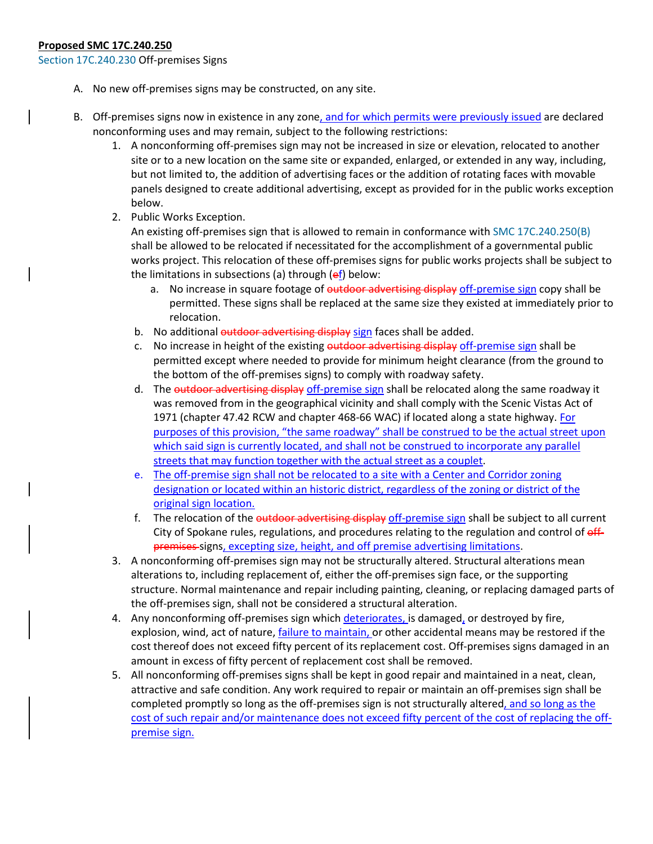### **Proposed SMC 17C.240.250**

[Section 17C.240.230](https://my.spokanecity.org/smc/?Section=17C.240.250) Off-premises Signs

- A. No new off-premises signs may be constructed, on any site.
- B. Off-premises signs now in existence in any zone, and for which permits were previously issued are declared nonconforming uses and may remain, subject to the following restrictions:
	- 1. A nonconforming off-premises sign may not be increased in size or elevation, relocated to another site or to a new location on the same site or expanded, enlarged, or extended in any way, including, but not limited to, the addition of advertising faces or the addition of rotating faces with movable panels designed to create additional advertising, except as provided for in the public works exception below.
	- 2. Public Works Exception.

An existing off-premises sign that is allowed to remain in conformance with [SMC 17C.240.250\(B\)](https://my.spokanecity.org/smc/?Section=17C.240.250) shall be allowed to be relocated if necessitated for the accomplishment of a governmental public works project. This relocation of these off-premises signs for public works projects shall be subject to the limitations in subsections (a) through  $(ef)$  below:

- a. No increase in square footage of outdoor advertising display off-premise sign copy shall be permitted. These signs shall be replaced at the same size they existed at immediately prior to relocation.
- b. No additional outdoor advertising display sign faces shall be added.
- c. No increase in height of the existing outdoor advertising display off-premise sign shall be permitted except where needed to provide for minimum height clearance (from the ground to the bottom of the off-premises signs) to comply with roadway safety.
- d. The outdoor advertising display off-premise sign shall be relocated along the same roadway it was removed from in the geographical vicinity and shall comply with the Scenic Vistas Act of 1971 (chapter 47.42 RCW and chapter 468-66 WAC) if located along a state highway. For purposes of this provision, "the same roadway" shall be construed to be the actual street upon which said sign is currently located, and shall not be construed to incorporate any parallel streets that may function together with the actual street as a couplet.
- e. The off-premise sign shall not be relocated to a site with a Center and Corridor zoning designation or located within an historic district, regardless of the zoning or district of the original sign location.
- f. The relocation of the outdoor advertising display off-premise sign shall be subject to all current City of Spokane rules, regulations, and procedures relating to the regulation and control of  $eff$ premises-signs, excepting size, height, and off premise advertising limitations.
- 3. A nonconforming off-premises sign may not be structurally altered. Structural alterations mean alterations to, including replacement of, either the off-premises sign face, or the supporting structure. Normal maintenance and repair including painting, cleaning, or replacing damaged parts of the off-premises sign, shall not be considered a structural alteration.
- 4. Any nonconforming off-premises sign which deteriorates, is damaged, or destroyed by fire, explosion, wind, act of nature, *failure to maintain*, or other accidental means may be restored if the cost thereof does not exceed fifty percent of its replacement cost. Off-premises signs damaged in an amount in excess of fifty percent of replacement cost shall be removed.
- 5. All nonconforming off-premises signs shall be kept in good repair and maintained in a neat, clean, attractive and safe condition. Any work required to repair or maintain an off-premises sign shall be completed promptly so long as the off-premises sign is not structurally altered, and so long as the cost of such repair and/or maintenance does not exceed fifty percent of the cost of replacing the offpremise sign.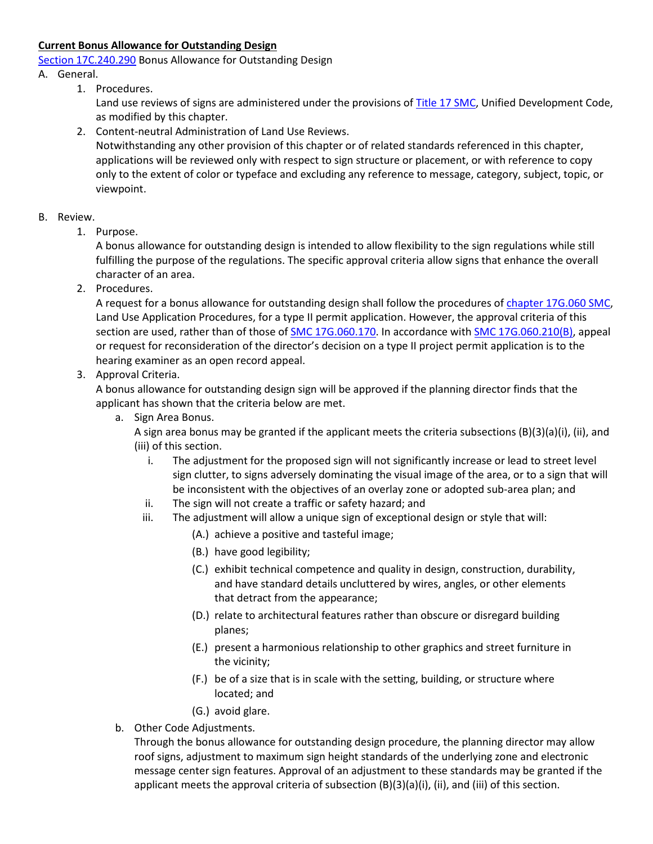# **Current Bonus Allowance for Outstanding Design**

[Section 17C.240.290](https://my.spokanecity.org/smc/?Section=17C.240.290) Bonus Allowance for Outstanding Design

# A. General.

1. Procedures.

Land use reviews of signs are administered under the provisions of [Title 17 SMC,](http://www.spokanecity.org/smc/?Title=17C) Unified Development Code, as modified by this chapter.

2. Content-neutral Administration of Land Use Reviews. Notwithstanding any other provision of this chapter or of related standards referenced in this chapter, applications will be reviewed only with respect to sign structure or placement, or with reference to copy only to the extent of color or typeface and excluding any reference to message, category, subject, topic, or viewpoint.

# B. Review.

1. Purpose.

A bonus allowance for outstanding design is intended to allow flexibility to the sign regulations while still fulfilling the purpose of the regulations. The specific approval criteria allow signs that enhance the overall character of an area.

2. Procedures.

A request for a bonus allowance for outstanding design shall follow the procedures of [chapter 17G.060 SMC,](http://www.spokanecity.org/smc/?Chapter=17G.060) Land Use Application Procedures, for a type II permit application. However, the approval criteria of this section are used, rather than of those o[f SMC 17G.060.170.](http://www.spokanecity.org/smc/?Section=17G.060.170) In accordance wit[h SMC 17G.060.210\(B\),](http://www.spokanecity.org/smc/?Section=17G.060.210) appeal or request for reconsideration of the director's decision on a type II project permit application is to the hearing examiner as an open record appeal.

# 3. Approval Criteria.

A bonus allowance for outstanding design sign will be approved if the planning director finds that the applicant has shown that the criteria below are met.

a. Sign Area Bonus.

A sign area bonus may be granted if the applicant meets the criteria subsections (B)(3)(a)(i), (ii), and (iii) of this section.

- i. The adjustment for the proposed sign will not significantly increase or lead to street level sign clutter, to signs adversely dominating the visual image of the area, or to a sign that will be inconsistent with the objectives of an overlay zone or adopted sub-area plan; and
- ii. The sign will not create a traffic or safety hazard; and
- iii. The adjustment will allow a unique sign of exceptional design or style that will:
	- (A.) achieve a positive and tasteful image;
	- (B.) have good legibility;
	- (C.) exhibit technical competence and quality in design, construction, durability, and have standard details uncluttered by wires, angles, or other elements that detract from the appearance;
	- (D.) relate to architectural features rather than obscure or disregard building planes;
	- (E.) present a harmonious relationship to other graphics and street furniture in the vicinity;
	- (F.) be of a size that is in scale with the setting, building, or structure where located; and
	- (G.) avoid glare.
- b. Other Code Adjustments.

Through the bonus allowance for outstanding design procedure, the planning director may allow roof signs, adjustment to maximum sign height standards of the underlying zone and electronic message center sign features. Approval of an adjustment to these standards may be granted if the applicant meets the approval criteria of subsection (B)(3)(a)(i), (ii), and (iii) of this section.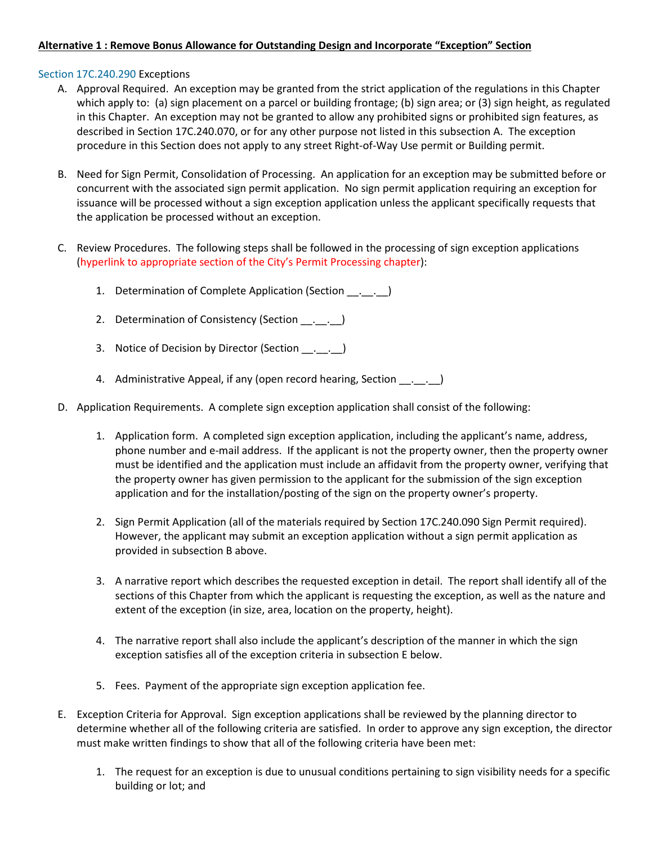# **Alternative 1 : Remove Bonus Allowance for Outstanding Design and Incorporate "Exception" Section**

### [Section 17C.240.290](https://my.spokanecity.org/smc/?Section=17C.240.290) Exceptions

- A. Approval Required. An exception may be granted from the strict application of the regulations in this Chapter which apply to: (a) sign placement on a parcel or building frontage; (b) sign area; or (3) sign height, as regulated in this Chapter. An exception may not be granted to allow any prohibited signs or prohibited sign features, as described in Section 17C.240.070, or for any other purpose not listed in this subsection A. The exception procedure in this Section does not apply to any street Right-of-Way Use permit or Building permit.
- B. Need for Sign Permit, Consolidation of Processing. An application for an exception may be submitted before or concurrent with the associated sign permit application. No sign permit application requiring an exception for issuance will be processed without a sign exception application unless the applicant specifically requests that the application be processed without an exception.
- C. Review Procedures. The following steps shall be followed in the processing of sign exception applications (hyperlink to appropriate section of the City's Permit Processing chapter):
	- 1. Determination of Complete Application (Section \_\_.\_\_.\_\_)
	- 2. Determination of Consistency (Section \_\_. \_\_. \_\_)
	- 3. Notice of Decision by Director (Section . . )
	- 4. Administrative Appeal, if any (open record hearing, Section \_\_. \_\_. \_\_)
- D. Application Requirements. A complete sign exception application shall consist of the following:
	- 1. Application form. A completed sign exception application, including the applicant's name, address, phone number and e-mail address. If the applicant is not the property owner, then the property owner must be identified and the application must include an affidavit from the property owner, verifying that the property owner has given permission to the applicant for the submission of the sign exception application and for the installation/posting of the sign on the property owner's property.
	- 2. Sign Permit Application (all of the materials required by Section 17C.240.090 Sign Permit required). However, the applicant may submit an exception application without a sign permit application as provided in subsection B above.
	- 3. A narrative report which describes the requested exception in detail. The report shall identify all of the sections of this Chapter from which the applicant is requesting the exception, as well as the nature and extent of the exception (in size, area, location on the property, height).
	- 4. The narrative report shall also include the applicant's description of the manner in which the sign exception satisfies all of the exception criteria in subsection E below.
	- 5. Fees. Payment of the appropriate sign exception application fee.
- E. Exception Criteria for Approval. Sign exception applications shall be reviewed by the planning director to determine whether all of the following criteria are satisfied. In order to approve any sign exception, the director must make written findings to show that all of the following criteria have been met:
	- 1. The request for an exception is due to unusual conditions pertaining to sign visibility needs for a specific building or lot; and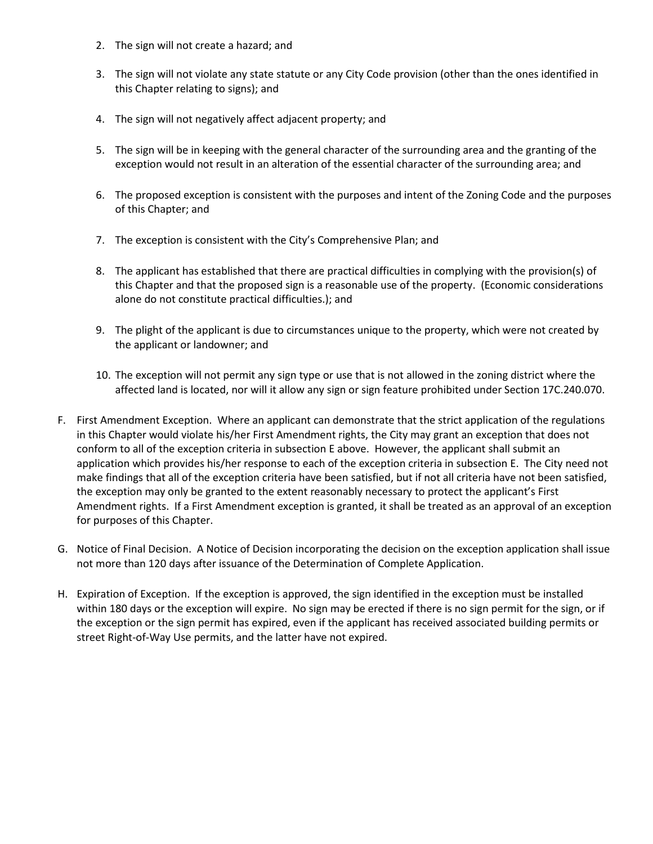- 2. The sign will not create a hazard; and
- 3. The sign will not violate any state statute or any City Code provision (other than the ones identified in this Chapter relating to signs); and
- 4. The sign will not negatively affect adjacent property; and
- 5. The sign will be in keeping with the general character of the surrounding area and the granting of the exception would not result in an alteration of the essential character of the surrounding area; and
- 6. The proposed exception is consistent with the purposes and intent of the Zoning Code and the purposes of this Chapter; and
- 7. The exception is consistent with the City's Comprehensive Plan; and
- 8. The applicant has established that there are practical difficulties in complying with the provision(s) of this Chapter and that the proposed sign is a reasonable use of the property. (Economic considerations alone do not constitute practical difficulties.); and
- 9. The plight of the applicant is due to circumstances unique to the property, which were not created by the applicant or landowner; and
- 10. The exception will not permit any sign type or use that is not allowed in the zoning district where the affected land is located, nor will it allow any sign or sign feature prohibited under Section 17C.240.070.
- F. First Amendment Exception. Where an applicant can demonstrate that the strict application of the regulations in this Chapter would violate his/her First Amendment rights, the City may grant an exception that does not conform to all of the exception criteria in subsection E above. However, the applicant shall submit an application which provides his/her response to each of the exception criteria in subsection E. The City need not make findings that all of the exception criteria have been satisfied, but if not all criteria have not been satisfied, the exception may only be granted to the extent reasonably necessary to protect the applicant's First Amendment rights. If a First Amendment exception is granted, it shall be treated as an approval of an exception for purposes of this Chapter.
- G. Notice of Final Decision. A Notice of Decision incorporating the decision on the exception application shall issue not more than 120 days after issuance of the Determination of Complete Application.
- H. Expiration of Exception. If the exception is approved, the sign identified in the exception must be installed within 180 days or the exception will expire. No sign may be erected if there is no sign permit for the sign, or if the exception or the sign permit has expired, even if the applicant has received associated building permits or street Right-of-Way Use permits, and the latter have not expired.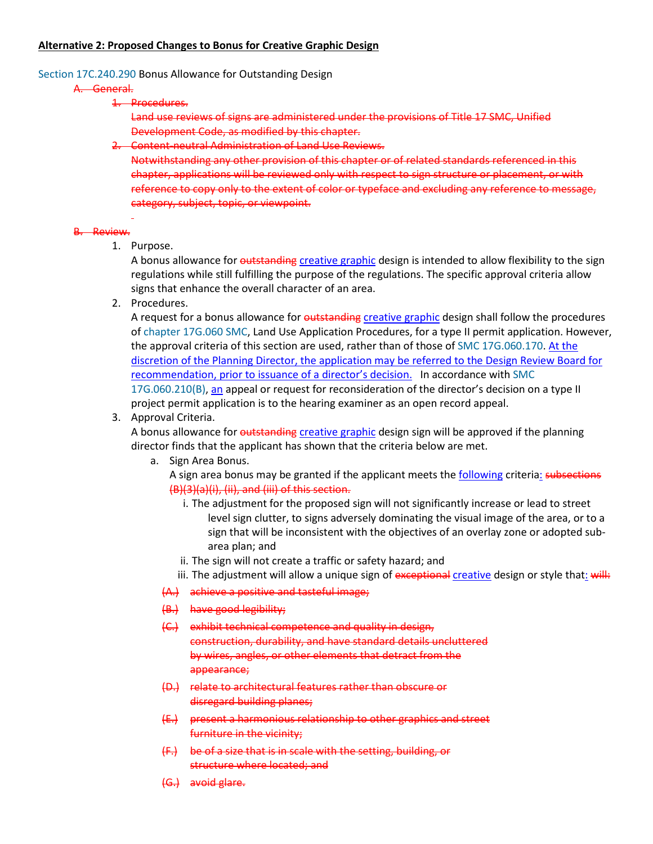### **Alternative 2: Proposed Changes to Bonus for Creative Graphic Design**

#### [Section 17C.240.290](https://my.spokanecity.org/smc/?Section=17C.240.290) Bonus Allowance for Outstanding Design

#### A. General.

1. Procedures.

Land use reviews of signs are administered under the provisions of [Title 17 SMC,](http://www.spokanecity.org/smc/?Title=17C) Unified Development Code, as modified by this chapter.

2. Content-neutral Administration of Land Use Reviews.

Notwithstanding any other provision of this chapter or of related standards referenced in this chapter, applications will be reviewed only with respect to sign structure or placement, or with reference to copy only to the extent of color or typeface and excluding any reference to message, category, subject, topic, or viewpoint.

#### B. Review.

1. Purpose.

A bonus allowance for outstanding creative graphic design is intended to allow flexibility to the sign regulations while still fulfilling the purpose of the regulations. The specific approval criteria allow signs that enhance the overall character of an area.

2. Procedures.

A request for a bonus allowance for outstanding creative graphic design shall follow the procedures o[f chapter 17G.060 SMC,](http://www.spokanecity.org/smc/?Chapter=17G.060) Land Use Application Procedures, for a type II permit application. However, the approval criteria of this section are used, rather than of those of [SMC 17G.060.170.](http://www.spokanecity.org/smc/?Section=17G.060.170) At the discretion of the Planning Director, the application may be referred to the Design Review Board for recommendation, prior to issuance of a director's decision. In accordance with [SMC](http://www.spokanecity.org/smc/?Section=17G.060.210)  [17G.060.210\(B\),](http://www.spokanecity.org/smc/?Section=17G.060.210) an appeal or request for reconsideration of the director's decision on a type II project permit application is to the hearing examiner as an open record appeal.

3. Approval Criteria.

A bonus allowance for outstanding creative graphic design sign will be approved if the planning director finds that the applicant has shown that the criteria below are met.

a. Sign Area Bonus.

A sign area bonus may be granted if the applicant meets the following criteria: subsections (B)(3)(a)(i), (ii), and (iii) of this section.

- i. The adjustment for the proposed sign will not significantly increase or lead to street level sign clutter, to signs adversely dominating the visual image of the area, or to a sign that will be inconsistent with the objectives of an overlay zone or adopted subarea plan; and
- ii. The sign will not create a traffic or safety hazard; and
- iii. The adjustment will allow a unique sign of exceptional creative design or style that: will:
- (A.) achieve a positive and tasteful image;
- (B.) have good legibility;
- (C.) exhibit technical competence and quality in design, construction, durability, and have standard details uncluttered by wires, angles, or other elements that detract from the appearance;
- (D.) relate to architectural features rather than obscure or disregard building planes;
- (E.) present a harmonious relationship to other graphics and street furniture in the vicinity;
- (F.) be of a size that is in scale with the setting, building, or structure where located; and
- (G.) avoid glare.